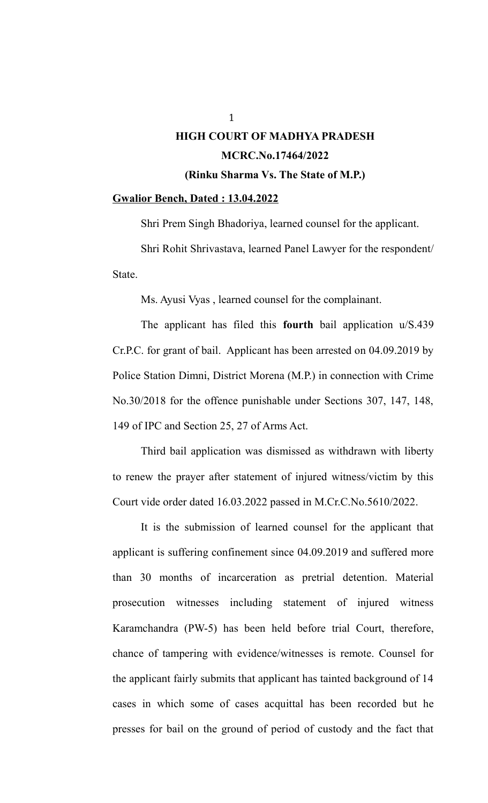#### **Gwalior Bench, Dated : 13.04.2022**

Shri Prem Singh Bhadoriya, learned counsel for the applicant.

Shri Rohit Shrivastava, learned Panel Lawyer for the respondent/ State.

Ms. Ayusi Vyas , learned counsel for the complainant.

The applicant has filed this **fourth** bail application u/S.439 Cr.P.C. for grant of bail. Applicant has been arrested on 04.09.2019 by Police Station Dimni, District Morena (M.P.) in connection with Crime No.30/2018 for the offence punishable under Sections 307, 147, 148, 149 of IPC and Section 25, 27 of Arms Act.

Third bail application was dismissed as withdrawn with liberty to renew the prayer after statement of injured witness/victim by this Court vide order dated 16.03.2022 passed in M.Cr.C.No.5610/2022.

It is the submission of learned counsel for the applicant that applicant is suffering confinement since 04.09.2019 and suffered more than 30 months of incarceration as pretrial detention. Material prosecution witnesses including statement of injured witness Karamchandra (PW-5) has been held before trial Court, therefore, chance of tampering with evidence/witnesses is remote. Counsel for the applicant fairly submits that applicant has tainted background of 14 cases in which some of cases acquittal has been recorded but he presses for bail on the ground of period of custody and the fact that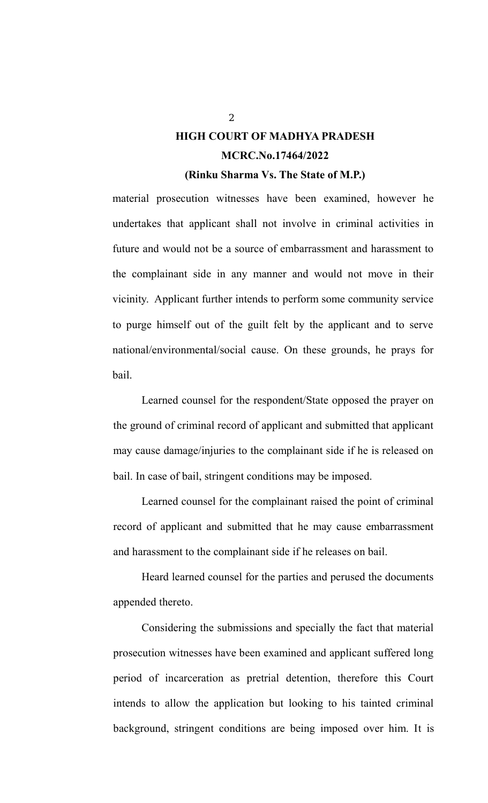material prosecution witnesses have been examined, however he undertakes that applicant shall not involve in criminal activities in future and would not be a source of embarrassment and harassment to the complainant side in any manner and would not move in their vicinity. Applicant further intends to perform some community service to purge himself out of the guilt felt by the applicant and to serve national/environmental/social cause. On these grounds, he prays for bail.

Learned counsel for the respondent/State opposed the prayer on the ground of criminal record of applicant and submitted that applicant may cause damage/injuries to the complainant side if he is released on bail. In case of bail, stringent conditions may be imposed.

Learned counsel for the complainant raised the point of criminal record of applicant and submitted that he may cause embarrassment and harassment to the complainant side if he releases on bail.

Heard learned counsel for the parties and perused the documents appended thereto.

Considering the submissions and specially the fact that material prosecution witnesses have been examined and applicant suffered long period of incarceration as pretrial detention, therefore this Court intends to allow the application but looking to his tainted criminal background, stringent conditions are being imposed over him. It is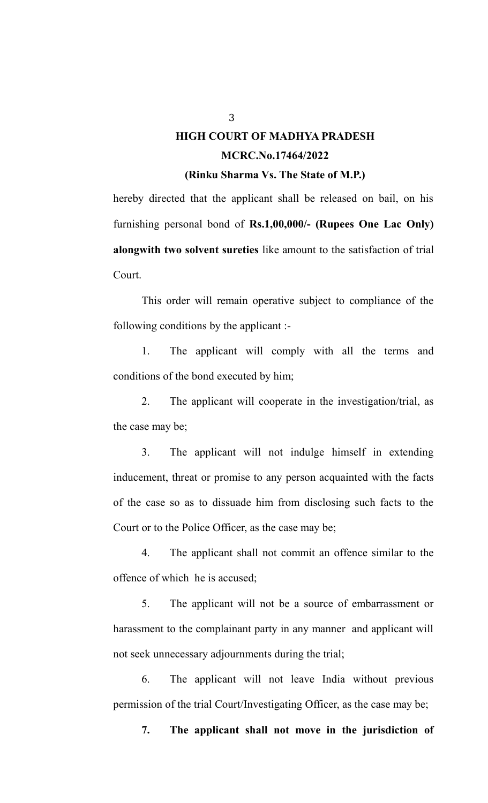hereby directed that the applicant shall be released on bail, on his furnishing personal bond of **Rs.1,00,000/- (Rupees One Lac Only) alongwith two solvent sureties** like amount to the satisfaction of trial Court.

This order will remain operative subject to compliance of the following conditions by the applicant :-

1. The applicant will comply with all the terms and conditions of the bond executed by him;

2. The applicant will cooperate in the investigation/trial, as the case may be;

3. The applicant will not indulge himself in extending inducement, threat or promise to any person acquainted with the facts of the case so as to dissuade him from disclosing such facts to the Court or to the Police Officer, as the case may be;

4. The applicant shall not commit an offence similar to the offence of which he is accused;

5. The applicant will not be a source of embarrassment or harassment to the complainant party in any manner and applicant will not seek unnecessary adjournments during the trial;

6. The applicant will not leave India without previous permission of the trial Court/Investigating Officer, as the case may be;

**7. The applicant shall not move in the jurisdiction of**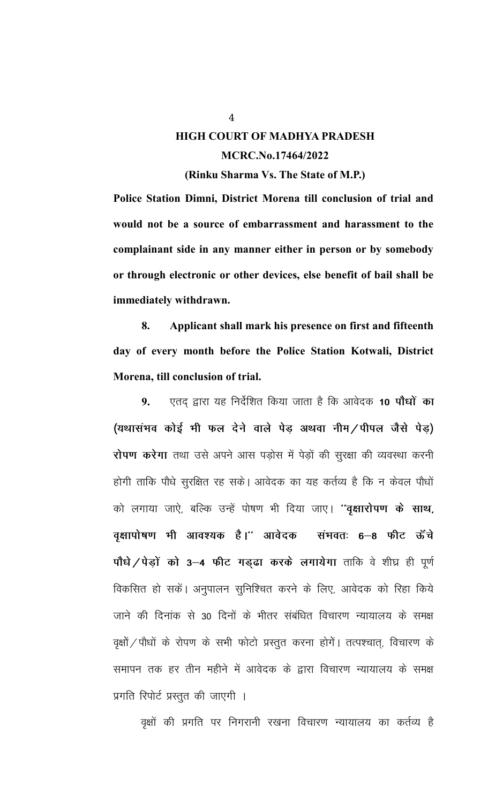Police Station Dimni, District Morena till conclusion of trial and

would not be a source of embarrassment and harassment to the complainant side in any manner either in person or by somebody or through electronic or other devices, else benefit of bail shall be immediately withdrawn.

8. Applicant shall mark his presence on first and fifteenth day of every month before the Police Station Kotwali, District Morena, till conclusion of trial.

 $9<sub>1</sub>$ एतद द्वारा यह निर्देशित किया जाता है कि आवेदक 10 **पौधों का** (यथासंभव कोई भी फल देने वाले पेड़ अथवा नीम / पीपल जैसे पेड़) रोपण करेगा तथा उसे अपने आस पड़ोस में पेड़ों की सूरक्षा की व्यवस्था करनी होगी ताकि पौधे सुरक्षित रह सके। आवेदक का यह कर्तव्य है कि न केवल पौधों को लगाया जाऐ, बल्कि उन्हें पोषण भी दिया जाए। "वृक्षारोपण के साथ, वृक्षापोषण भी आवश्यक है।'' आवेदक संभवतः ६–८ फीट ऊॅंचे पौधे / पेड़ों को 3-4 फीट गड़ढा करके लगायेगा ताकि वे शीघ्र ही पूर्ण विकसित हो सकें। अनुपालन सुनिश्चित करने के लिए, आवेदक को रिहा किये जाने की दिनांक से 30 दिनों के भीतर संबंधित विचारण न्यायालय के समक्ष वृक्षों / पौधों के रोपण के सभी फोटो प्रस्तुत करना होगें। तत्पश्चात्, विचारण के समापन तक हर तीन महीने में आवेदक के द्वारा विचारण न्यायालय के समक्ष प्रगति रिपोर्ट प्रस्तुत की जाएगी ।

वृक्षों की प्रगति पर निगरानी रखना विचारण न्यायालय का कर्तव्य है

 $\overline{4}$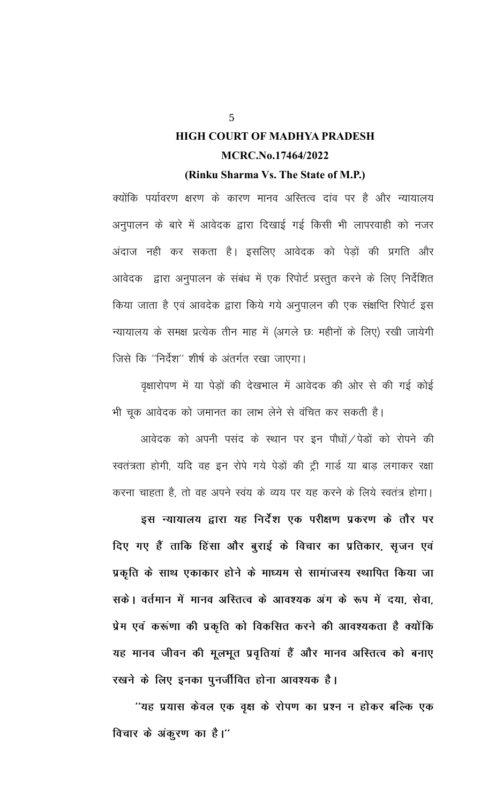क्योंकि पर्यावरण क्षरण के कारण मानव अस्तित्व दांव पर है और न्यायालय अनुपालन के बारे में आवेदक द्वारा दिखाई गई किसी भी लापरवाही को नजर अंदाज नही कर सकता है। इसलिए आवेदक को पेड़ों की प्रगति और आवेदक) द्वारा अनुपालन के संबंध में एक रिपोर्ट प्रस्तुत करने के लिए निर्देशित किया जाता है एवं आवदेक द्वारा किये गये अनुपालन की एक संक्षप्ति रिपेार्ट इस न्यायालय के समक्ष प्रत्येक तीन माह में (अगले छः महीनों के लिए) रखी जायेगी जिसे कि "निर्देश" शीर्ष के अंतर्गत रखा जाएगा।

वृक्षारोपण में या पेड़ों की देखभाल में आवेदक की ओर से की गई कोई भी चूक आवेदक को जमानत का लाभ लेने से वंचित कर सकती है।

आवेदक को अपनी पसंद के स्थान पर इन पौधों / पेडों को रोपने की स्वतंत्रता होगी, यदि वह इन रोपे गये पेडों की ट्री गार्ड या बाड़ लगाकर रक्षा करना चाहता है, तो वह अपने स्वंय के व्यय पर यह करने के लिये स्वतंत्र होगा।

इस न्यायालय द्वारा यह निर्देश एक परीक्षण प्रकरण के तौर पर दिए गए हैं ताकि हिंसा और बुराई के विचार का प्रतिकार, सृजन एवं प्रकृति के साथ एकाकार होने के माध्यम से सामांजस्य स्थापित किया जा सकें। वर्तमान में मानव अस्तित्व के आवश्यक अंग के रूप में दया, सेवा, प्रेम एवं करूंणा की प्रकृति को विकसित करने की आवश्यकता है क्योंकि यह मानव जीवन की मूलभूत प्रवृतियां हैं और मानव अस्तित्व को बनाए रखने के लिए इनका पुनर्जीवित होना आवश्यक है।

''यह प्रयास केवल एक वृक्ष के रोपण का प्रश्न न होकर बल्कि एक विचार के अंकुरण का है।"